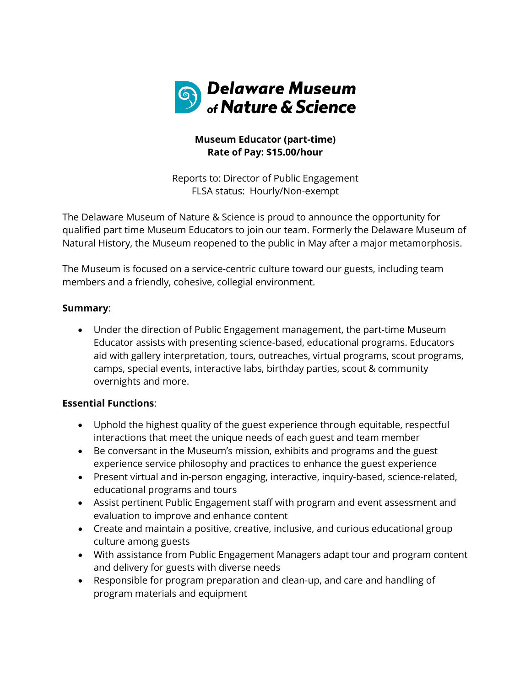

# **Museum Educator (part-time) Rate of Pay: \$15.00/hour**

Reports to: Director of Public Engagement FLSA status: Hourly/Non-exempt

The Delaware Museum of Nature & Science is proud to announce the opportunity for qualified part time Museum Educators to join our team. Formerly the Delaware Museum of Natural History, the Museum reopened to the public in May after a major metamorphosis.

The Museum is focused on a service-centric culture toward our guests, including team members and a friendly, cohesive, collegial environment.

## **Summary**:

• Under the direction of Public Engagement management, the part-time Museum Educator assists with presenting science-based, educational programs. Educators aid with gallery interpretation, tours, outreaches, virtual programs, scout programs, camps, special events, interactive labs, birthday parties, scout & community overnights and more.

# **Essential Functions**:

- Uphold the highest quality of the guest experience through equitable, respectful interactions that meet the unique needs of each guest and team member
- Be conversant in the Museum's mission, exhibits and programs and the guest experience service philosophy and practices to enhance the guest experience
- Present virtual and in-person engaging, interactive, inquiry-based, science-related, educational programs and tours
- Assist pertinent Public Engagement staff with program and event assessment and evaluation to improve and enhance content
- Create and maintain a positive, creative, inclusive, and curious educational group culture among guests
- With assistance from Public Engagement Managers adapt tour and program content and delivery for guests with diverse needs
- Responsible for program preparation and clean-up, and care and handling of program materials and equipment